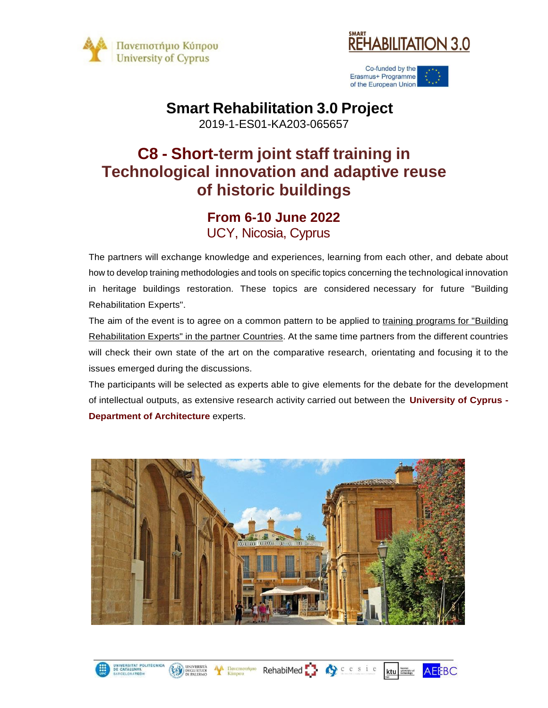

UNIVERSITAT POLITÉCI<br>DE CATALUNYA

DEGLI STUDI

**AA** Πανεπιστήμιο



Co-funded by the Erasmus+ Programme of the European Union

#### **Smart Rehabilitation 3.0 Project**

2019-1-ES01-KA203-065657

## **C8 - Short-term joint staff training in Technological innovation and adaptive reuse of historic buildings**

#### **From 6-10 June 2022** UCY, Nicosia, Cyprus

The partners will exchange knowledge and experiences, learning from each other, and debate about how to develop training methodologies and tools on specific topics concerning the technological innovation in heritage buildings restoration. These topics are considered necessary for future "Building Rehabilitation Experts".

The aim of the event is to agree on a common pattern to be applied to training programs for "Building Rehabilitation Experts" in the partner Countries. At the same time partners from the different countries will check their own state of the art on the comparative research, orientating and focusing it to the issues emerged during the discussions.

The participants will be selected as experts able to give elements for the debate for the development of intellectual outputs, as extensive research activity carried out between the **University of Cyprus - Department of Architecture** experts.



RehabiMed : Or cesie

**AEEBC** 

**ktu** kaunas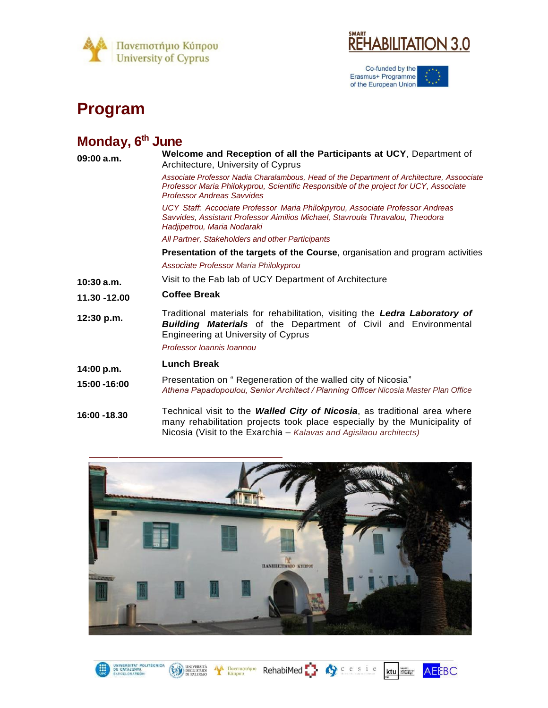



Co-funded by the<br>Erasmus+ Programme<br>of the European Union  $\boldsymbol{\xi}$ 

## **Program**

# **Monday, 6th June**

UNIVERSITAT POLITÉCNICA<br>DE CATALUNYA<br>BARCELONATECH

| 09:00 a.m.   | Welcome and Reception of all the Participants at UCY, Department of<br>Architecture, University of Cyprus                                                                                                                       |
|--------------|---------------------------------------------------------------------------------------------------------------------------------------------------------------------------------------------------------------------------------|
|              | Associate Professor Nadia Charalambous, Head of the Department of Architecture, Assoociate<br>Professor Maria Philokyprou, Scientific Responsible of the project for UCY, Associate<br><b>Professor Andreas Savvides</b>        |
|              | UCY Staff: Accociate Professor Maria Philokpyrou, Associate Professor Andreas<br>Savvides, Assistant Professor Aimilios Michael, Stavroula Thravalou, Theodora<br>Hadjipetrou, Maria Nodaraki                                   |
|              | All Partner, Stakeholders and other Participants                                                                                                                                                                                |
|              | Presentation of the targets of the Course, organisation and program activities                                                                                                                                                  |
|              | Associate Professor Maria Philokyprou                                                                                                                                                                                           |
| 10:30 a.m.   | Visit to the Fab lab of UCY Department of Architecture                                                                                                                                                                          |
| 11.30 -12.00 | <b>Coffee Break</b>                                                                                                                                                                                                             |
| 12:30 p.m.   | Traditional materials for rehabilitation, visiting the Ledra Laboratory of<br><b>Building Materials</b> of the Department of Civil and Environmental<br><b>Engineering at University of Cyprus</b><br>Professor Ioannis Ioannou |
| 14:00 p.m.   | <b>Lunch Break</b>                                                                                                                                                                                                              |
| 15:00 -16:00 | Presentation on "Regeneration of the walled city of Nicosia"<br>Athena Papadopoulou, Senior Architect / Planning Officer Nicosia Master Plan Office                                                                             |
| 16:00 -18.30 | Technical visit to the Walled City of Nicosia, as traditional area where<br>many rehabilitation projects took place especially by the Municipality of<br>Nicosia (Visit to the Exarchia – Kalavas and Agisilaou architects)     |



EN UNIVERSITÀ de Revenomino RehabiMed C c c s i e ktu annum AEEBC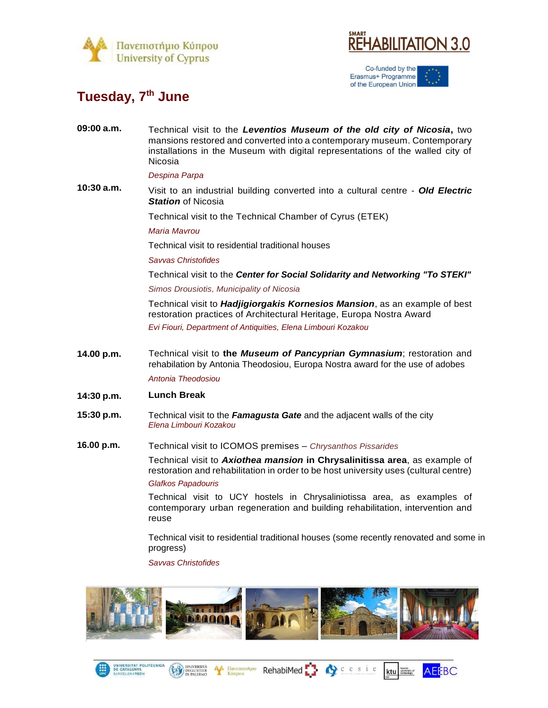



Co-funded by the Erasmus+ Programme of the European Union

## **Tuesday, 7th June**

| 09:00 a.m. | Technical visit to the Leventios Museum of the old city of Nicosia, two<br>mansions restored and converted into a contemporary museum. Contemporary<br>installations in the Museum with digital representations of the walled city of<br>Nicosia |
|------------|--------------------------------------------------------------------------------------------------------------------------------------------------------------------------------------------------------------------------------------------------|
|            | Despina Parpa                                                                                                                                                                                                                                    |
| 10:30 a.m. | Visit to an industrial building converted into a cultural centre - Old Electric<br><b>Station of Nicosia</b>                                                                                                                                     |
|            | Technical visit to the Technical Chamber of Cyrus (ETEK)                                                                                                                                                                                         |
|            | Maria Mavrou                                                                                                                                                                                                                                     |
|            | Technical visit to residential traditional houses                                                                                                                                                                                                |
|            | Savvas Christofides                                                                                                                                                                                                                              |
|            | Technical visit to the Center for Social Solidarity and Networking "To STEKI"                                                                                                                                                                    |
|            | Simos Drousiotis, Municipality of Nicosia                                                                                                                                                                                                        |
|            | Technical visit to <i>Hadjigiorgakis Kornesios Mansion</i> , as an example of best<br>restoration practices of Architectural Heritage, Europa Nostra Award                                                                                       |
|            | Evi Fiouri, Department of Antiquities, Elena Limbouri Kozakou                                                                                                                                                                                    |
| 14.00 p.m. | Technical visit to the Museum of Pancyprian Gymnasium; restoration and<br>rehabilation by Antonia Theodosiou, Europa Nostra award for the use of adobes<br>Antonia Theodosiou                                                                    |
| 14:30 p.m. | <b>Lunch Break</b>                                                                                                                                                                                                                               |
| 15:30 p.m. |                                                                                                                                                                                                                                                  |
|            | Technical visit to the Famagusta Gate and the adjacent walls of the city<br>Elena Limbouri Kozakou                                                                                                                                               |
| 16.00 p.m. | Technical visit to ICOMOS premises - Chrysanthos Pissarides                                                                                                                                                                                      |
|            | Technical visit to Axiothea mansion in Chrysalinitissa area, as example of<br>restoration and rehabilitation in order to be host university uses (cultural centre)<br>Glafkos Papadouris                                                         |
|            | Technical visit to UCY hostels in Chrysaliniotissa area, as examples of                                                                                                                                                                          |

contemporary urban regeneration and building rehabilitation, intervention and reuse

Technical visit to residential traditional houses (some recently renovated and some in progress)

Qcesie

**AEEBC** 

kaunas<br>Ktu showersity of

*Savvas Christofides*

UNIVERSITÀ

UNIVERSITAT POLITÉCNICA<br>DE CATALUNYA<br>BARCELONATECH



K Havemornuo RehabiMed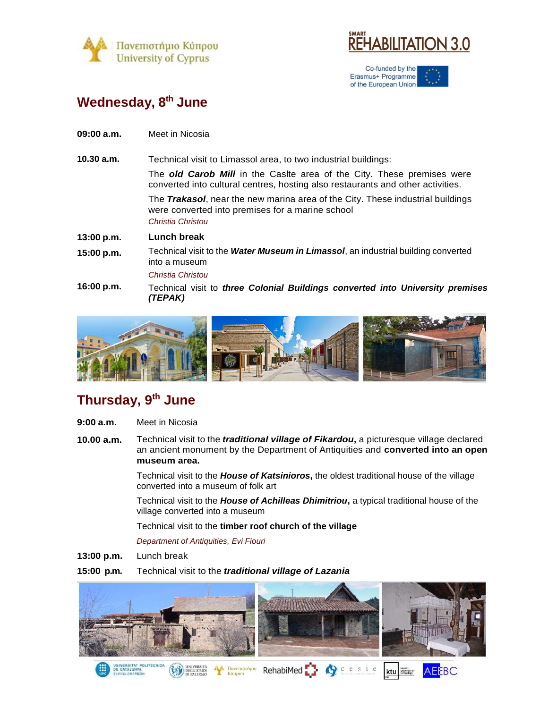



Co-funded by the Erasmus+ Programme of the European Union

### **Wednesday, 8th June**

**09:00 a.m.** Meet in Nicosia

**10.30 a.m.** Technical visit to Limassol area, to two industrial buildings: The *old Carob Mill* in the Caslte area of the City. These premises were

> converted into cultural centres, hosting also restaurants and other activities. The *Trakasol*, near the new marina area of the City. These industrial buildings were converted into premises for a marine school

*Christia Christou* 

#### **13:00 p.m. Lunch break**

**15:00 p.m.** Technical visit to the *Water Museum in Limassol*, an industrial building converted into a museum

*Christia Christou*

**16:00 p.m.** Technical visit to *three Colonial Buildings converted into University premises (TEPAK)*



### **Thursday, 9th June**

- **9:00 a.m.** Meet in Nicosia
- **10.00 a.m.** Technical visit to the *traditional village of Fikardou***,** a picturesque village declared an ancient monument by the Department of Antiquities and **converted into an open museum area.**

Technical visit to the *House of Katsinioros***,** the oldest traditional house of the village converted into a museum of folk art

Technical visit to the *House of Achilleas Dhimitriou***,** a typical traditional house of the village converted into a museum

Technical visit to the **timber roof church of the village**

*Department of Antiquities, Evi Fiouri*

**13:00 p.m.**  Lunch break

#### **15:00 p.m.** Technical visit to the *traditional village of Lazania*